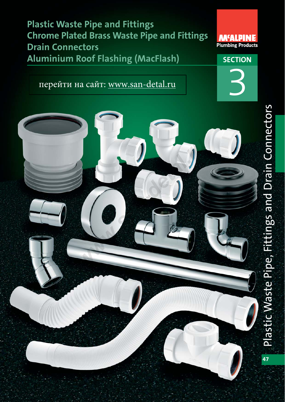**Plastic Waste Pipe and Fittings Chrome Plated Brass Waste Pipe and Fittings Drain Connectors Aluminium Roof Flashing (MacFlash) SECTION** 

перейти на сайт[: www.san-detal.ru](http://www.san-detal.ru/mcalpine-m-5.html)





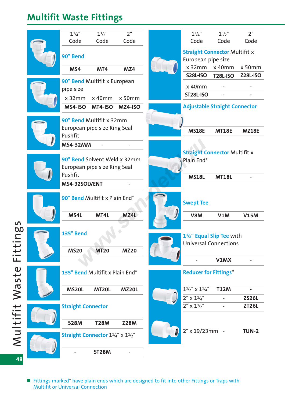### **Multifit Waste Fittings**

| $1\frac{1}{4}$ "          | $1\frac{1}{2}$ "                 | 2 <sup>''</sup> | $1\frac{1}{4}$ "                                    | $1\frac{1}{2}$  | 2 <sup>''</sup> |
|---------------------------|----------------------------------|-----------------|-----------------------------------------------------|-----------------|-----------------|
| Code                      | Code                             | Code            | Code                                                | Code            | Code            |
|                           |                                  |                 | <b>Straight Connector Multifit x</b>                |                 |                 |
| 90° Bend                  |                                  |                 | European pipe size                                  |                 |                 |
| MS4                       | MT4                              | MZ4             | $x$ 32 $mm$                                         | x 40mm          | x 50mm          |
|                           |                                  |                 | <b>S28L-ISO</b>                                     | <b>T28L-ISO</b> | <b>Z28L-ISO</b> |
| pipe size                 | 90° Bend Multifit x European     |                 | x 40mm                                              |                 |                 |
|                           |                                  |                 | <b>ST28L-ISO</b>                                    |                 |                 |
| $x$ 32 $mm$               | $x$ 40mm                         | x 50mm          |                                                     |                 |                 |
| MS4-ISO                   | MT4-ISO                          | MZ4-ISO         | <b>Adjustable Straight Connector</b>                |                 |                 |
|                           | 90° Bend Multifit x 32mm         |                 |                                                     |                 |                 |
|                           | European pipe size Ring Seal     |                 | <b>MS18E</b>                                        | <b>MT18E</b>    | <b>MZ18E</b>    |
| Pushfit                   |                                  |                 |                                                     |                 |                 |
| <b>MS4-32MM</b>           |                                  |                 |                                                     |                 |                 |
|                           |                                  |                 | <b>Straight Connector Multifit x</b>                |                 |                 |
|                           | 90° Bend Solvent Weld x 32mm     |                 | Plain End*                                          |                 |                 |
|                           | European pipe size Ring Seal     |                 |                                                     |                 |                 |
| Pushfit                   |                                  |                 | <b>MS18L</b>                                        | <b>MT18L</b>    |                 |
| MS4-32SOLVENT             |                                  |                 |                                                     |                 |                 |
|                           | 90° Bend Multifit x Plain End*   |                 | <b>Swept Tee</b>                                    |                 |                 |
| MS4L                      | MT4L                             | MZ4L            | V8M                                                 | <b>V1M</b>      | <b>V15M</b>     |
|                           |                                  |                 |                                                     |                 |                 |
| 135° Bend                 |                                  |                 | 1 <sup>1</sup> / <sub>2</sub> " Equal Slip Tee with |                 |                 |
|                           |                                  |                 | <b>Universal Connections</b>                        |                 |                 |
| <b>MS20</b>               | <b>MT20</b>                      | <b>MZ20</b>     |                                                     |                 |                 |
|                           |                                  |                 |                                                     | V1MX            |                 |
|                           |                                  |                 |                                                     |                 |                 |
|                           | 135° Bend Multifit x Plain End*  |                 | <b>Reducer for Fittings*</b>                        |                 |                 |
| <b>MS20L</b>              | <b>MT20L</b>                     | <b>MZ20L</b>    | $1\frac{1}{2}$ " x $1\frac{1}{4}$ "                 | <b>T12M</b>     |                 |
|                           |                                  |                 | $2" \times 1\frac{1}{4}$ "                          |                 | <b>ZS26L</b>    |
|                           |                                  |                 | $2'' \times 1\frac{1}{2}''$                         |                 | <b>ZT26L</b>    |
| <b>Straight Connector</b> |                                  |                 |                                                     |                 |                 |
| <b>S28M</b>               | <b>T28M</b>                      | <b>Z28M</b>     |                                                     |                 |                 |
|                           |                                  |                 | 2" x 19/23mm -                                      |                 | <b>TUN-2</b>    |
|                           | Straight Connector 11/4" x 11/2" |                 |                                                     |                 |                 |
|                           |                                  |                 |                                                     |                 |                 |
|                           | <b>ST28M</b>                     |                 |                                                     |                 |                 |

Multifit Waste Fittings Multifit Waste Fittings **48**

> ■ Fittings marked\* have plain ends which are designed to fit into other Fittings or Traps with Multifit or Universal Connection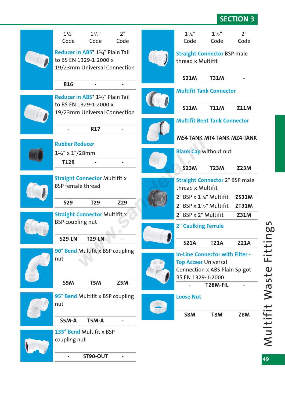### **SECTION 3**

| $1\frac{1}{4}$ "<br>Code   | $1\frac{1}{2}$ "<br>Code                                                                                             | 2 <sup>''</sup><br>Code | $1\frac{1}{4}$ "<br>Code                                                                                      | $1\frac{1}{2}$ "<br>Code | 2"<br>Code   |
|----------------------------|----------------------------------------------------------------------------------------------------------------------|-------------------------|---------------------------------------------------------------------------------------------------------------|--------------------------|--------------|
|                            | Reducer in ABS* 1 <sup>1</sup> / <sub>4</sub> " Plain Tail<br>to BS EN 1329-1:2000 x<br>19/23mm Universal Connection |                         | <b>Straight Connector BSP male</b><br>thread x Multifit                                                       |                          |              |
|                            |                                                                                                                      |                         | <b>S31M</b>                                                                                                   | <b>T31M</b>              |              |
| <b>R16</b>                 |                                                                                                                      |                         | <b>Multifit Tank Connector</b>                                                                                |                          |              |
|                            | Reducer in ABS* 1 <sup>1</sup> / <sub>2</sub> " Plain Tail<br>to BS EN 1329-1:2000 x                                 |                         | <b>S11M</b>                                                                                                   | <b>T11M</b>              | <b>Z11M</b>  |
|                            | 19/23mm Universal Connection                                                                                         |                         | <b>Multifit Bent Tank Connector</b>                                                                           |                          |              |
|                            | <b>R17</b>                                                                                                           |                         | <b>MS4-TANK MT4-TANK MZ4-TANK</b>                                                                             |                          |              |
| <b>Rubber Reducer</b>      |                                                                                                                      |                         |                                                                                                               |                          |              |
| $1\frac{1}{4}$ " x 1"/28mm |                                                                                                                      |                         | <b>Blank Cap without nut</b>                                                                                  |                          |              |
| <b>T12R</b>                |                                                                                                                      |                         | <b>S23M</b>                                                                                                   | <b>T23M</b>              | <b>Z23M</b>  |
| <b>BSP</b> female thread   | <b>Straight Connector Multifit x</b>                                                                                 |                         | <b>Straight Connector 2" BSP male</b><br>thread x Multifit                                                    |                          |              |
| <b>S29</b>                 | <b>T29</b>                                                                                                           | Z29                     | $2"$ BSP x $1\frac{1}{4}$ " Multifit                                                                          |                          | <b>ZS31M</b> |
|                            | <b>Straight Connector Multifit x</b>                                                                                 |                         | $2"$ BSP x $1\frac{1}{2}$ " Multifit                                                                          |                          | <b>ZT31M</b> |
| <b>BSP</b> coupling nut    |                                                                                                                      |                         | 2" BSP x 2" Multifit<br><b>2" Caulking Ferrule</b>                                                            |                          | <b>Z31M</b>  |
| <b>S29-LN</b>              | T29-LN                                                                                                               |                         |                                                                                                               |                          |              |
|                            | 90° Bend Multifit x BSP coupling                                                                                     |                         | <b>S21A</b>                                                                                                   | <b>T21A</b>              | <b>Z21A</b>  |
| nut                        |                                                                                                                      |                         | <b>In-Line Connector with Filter -</b><br><b>Top Access Universal</b><br><b>Connection x ABS Plain Spigot</b> |                          |              |
| S5M                        | T5M                                                                                                                  | Z5M                     | BS EN 1329-1:2000                                                                                             |                          |              |
|                            |                                                                                                                      |                         |                                                                                                               | T28M-FIL                 |              |
| nut                        | 95° Bend Multifit x BSP coupling                                                                                     |                         | <b>Loose Nut</b>                                                                                              |                          |              |
| S5M-A                      | T5M-A                                                                                                                |                         | <b>S8M</b>                                                                                                    | T8M                      | <b>Z8M</b>   |
| coupling nut               | 135° Bend Multifit x BSP                                                                                             |                         |                                                                                                               |                          |              |
|                            | <b>ST90-OUT</b>                                                                                                      |                         |                                                                                                               |                          |              |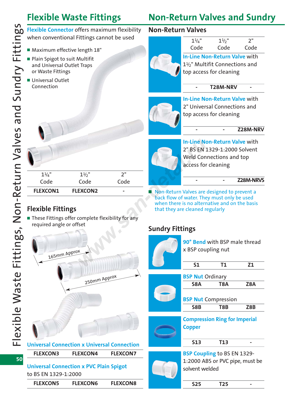### **Flexible Waste Fittings Non-Return Valves and Sundry**

**Flexible Connector** offers maximum flexibility when conventional Fittings cannot be used

- Maximum effective length 18"
- Plain Spigot to suit Multifit and Universal Outlet Traps or Waste Fittings
- Universal Outlet Connection

#### **Non-Return Valves**



 $1\frac{1}{4}$ "  $1\frac{1}{2}$ " 2" Code Code Code **In-Line Non-Return Valve** with

11/2" Multifit Connections and top access for cleaning

**- T28M-NRV -**



**In-Line Non-Return Valve** with 2" Universal Connections and top access for cleaning

#### **- - Z28M-NRV**



### **Flexible Fittings**

■ These Fittings offer complete flexibility for any required angle or offset



to BS EN 1329-1:2000

|  | <b>FLEXCON5</b> | <b>FLEXCON6</b> | <b>FLEXCON8</b> |
|--|-----------------|-----------------|-----------------|
|--|-----------------|-----------------|-----------------|



**In-Line Non-Return Valve** with 2" BS EN 1329-1:2000 Solvent Weld Connections and top access for cleaning

**- - Z28M-NRVS**

■ Non-Return Valves are designed to prevent a back flow of water. They must only be used when there is no alternative and on the basis that they are cleaned regularly

### **Sundry Fittings**

| x BSP coupling nut      | 90° Bend with BSP male thread        |     |
|-------------------------|--------------------------------------|-----|
| S <sub>1</sub>          | <b>T1</b>                            | Z1  |
| <b>BSP Nut Ordinary</b> |                                      |     |
| S8A                     | T8A                                  | Z8A |
|                         | <b>BSP Nut Compression</b>           |     |
| S8B                     | T8B                                  | Z8B |
|                         |                                      |     |
|                         | <b>Compression Ring for Imperial</b> |     |
| <b>Copper</b>           |                                      |     |
| 513                     | <b>T13</b>                           |     |
|                         | <b>BSP Coupling to BS EN 1329-</b>   |     |
|                         | 1:2000 ABS or PVC pipe, must be      |     |
| solvent welded          |                                      |     |
| <b>S25</b>              | T <sub>25</sub>                      |     |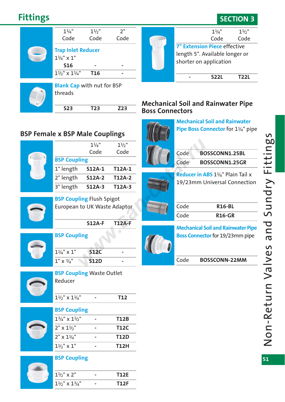### **Fittings SECTION 3**

| $1\frac{1}{4}$ "                                   | $1\frac{1}{2}$ " | 2"   |
|----------------------------------------------------|------------------|------|
| Code                                               | Code             | Code |
| <b>Trap Inlet Reducer</b><br>$1\frac{1}{4}$ " x 1" |                  |      |
| <b>S16</b>                                         |                  |      |
| $1\frac{1}{2}$ " x $1\frac{1}{4}$ "                | <b>T16</b>       |      |
|                                                    |                  |      |
| <b>Blank Cap with nut for BSP</b>                  |                  |      |
| threads                                            |                  |      |

**S23 T23 Z23**



#### **Mechanical Soil and Rainwater Pipe Boss Connectors**



**Mechanical Soil and Rainwater Pipe Boss Connector** for 1<sup>1/4"</sup> pipe

# Code **BOSSCONN1.25GR**

**Reducer in ABS** 11/4" Plain Tail x 19/23mm Universal Connection

| Code | <b>R16-BL</b> |
|------|---------------|
| Code | <b>R16-GR</b> |



#### **BSP Coupling**

**BSP Female x BSP Male Couplings**

**BSP Coupling**

| $1\frac{1}{4}$ " x 1" | .12C   |  |
|-----------------------|--------|--|
| $1''$ x $3/4''$       | 51 2 D |  |

**BSP Coupling** Flush Spigot

European to UK Waste Adaptor

1" length **S12A-1 T12A-1** 2" length **S12A-2 T12A-2** 3" length **S12A-3 T12A-3**

**S12A-F T12A-F**

 $1\frac{1}{4}$ "  $1\frac{1}{2}$ " Code Code



**BSP Coupling** Waste Outlet Reducer

| $11/2$ " $\times 11/2$ " |  |
|--------------------------|--|
|                          |  |

#### **BSP Coupling**

| $1\frac{3}{4}$ " x $1\frac{1}{2}$ " | <b>T12B</b> |
|-------------------------------------|-------------|
| $2" \times 1\frac{1}{2}$            | <b>T12C</b> |
| $2'' \times 1\frac{1}{4}$           | <b>T12D</b> |
| $1\frac{1}{2}$ x 1"                 | <b>T12H</b> |

#### **BSP Coupling**

| $1\frac{1}{2}$ " x 2"               | T12F   |
|-------------------------------------|--------|
| $1\frac{1}{2}$ " x $1\frac{3}{4}$ " | T1 2 F |

**Mechanical Soil and Rainwater Pipe Boss Connector** for 19/23mm pipe

Code **BOSSCONN-22MM**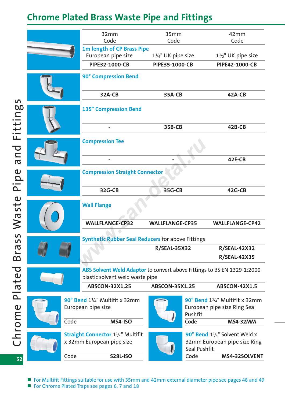## **Chrome Plated Brass Waste Pipe and Fittings**

|      | 32mm<br>Code                                                                                               | 35mm<br>Code           | 42mm<br>Code                                                                         |  |
|------|------------------------------------------------------------------------------------------------------------|------------------------|--------------------------------------------------------------------------------------|--|
|      | <b>1m length of CP Brass Pipe</b><br>European pipe size<br>$1\frac{1}{4}$ " UK pipe size                   |                        | $1\frac{1}{2}$ " UK pipe size                                                        |  |
|      | PIPE32-1000-CB                                                                                             | PIPE35-1000-CB         | PIPE42-1000-CB                                                                       |  |
|      | 90° Compression Bend                                                                                       |                        |                                                                                      |  |
|      | 32A-CB                                                                                                     | <b>35A-CB</b>          | 42A-CB                                                                               |  |
|      | <b>135° Compression Bend</b>                                                                               |                        |                                                                                      |  |
|      | ۰                                                                                                          | <b>35B-CB</b>          | $42B-CB$                                                                             |  |
|      | <b>Compression Tee</b>                                                                                     |                        |                                                                                      |  |
|      |                                                                                                            |                        | $42E-CB$                                                                             |  |
|      | <b>Compression Straight Connector</b>                                                                      |                        |                                                                                      |  |
|      | 32G-CB                                                                                                     | 35G-CB                 | 42G-CB                                                                               |  |
|      | <b>Wall Flange</b>                                                                                         |                        |                                                                                      |  |
|      | <b>WALLFLANGE-CP32</b>                                                                                     | <b>WALLFLANGE-CP35</b> | <b>WALLFLANGE-CP42</b>                                                               |  |
|      | <b>Synthetic Rubber Seal Reducers for above Fittings</b>                                                   |                        |                                                                                      |  |
|      |                                                                                                            | <b>R/SEAL-35X32</b>    | <b>R/SEAL-42X32</b>                                                                  |  |
|      |                                                                                                            |                        | <b>R/SEAL-42X35</b>                                                                  |  |
|      | ABS Solvent Weld Adaptor to convert above Fittings to BS EN 1329-1:2000<br>plastic solvent weld waste pipe |                        |                                                                                      |  |
|      | <b>ABSCON-32X1.25</b><br><b>ABSCON-35X1.25</b>                                                             |                        | <b>ABSCON-42X1.5</b>                                                                 |  |
|      | 90° Bend 11/4" Multifit x 32mm<br>European pipe size                                                       | Pushfit                | 90° Bend 11/4" Multifit x 32mm<br>European pipe size Ring Seal                       |  |
| Code | <b>MS4-ISO</b>                                                                                             | Code                   | <b>MS4-32MM</b>                                                                      |  |
|      | <b>Straight Connector 11/4" Multifit</b><br>x 32mm European pipe size                                      |                        | 90° Bend 11/4" Solvent Weld x<br>32mm European pipe size Ring<br><b>Seal Pushfit</b> |  |
| Code | <b>S28L-ISO</b>                                                                                            | Code                   | MS4-32SOLVENT                                                                        |  |

 $\overline{52}$ 

- For Multifit Fittings suitable for use with 35mm and 42mm external diameter pipe see pages 48 and 49
- For Chrome Plated Traps see pages 6, 7 and 18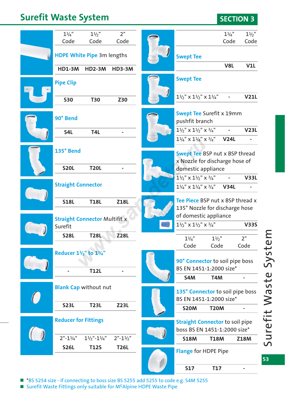## **Surefit Waste System SECTION 3**

| $1\frac{1}{4}$ "                                | $1\frac{1}{2}$ "                   | 2 <sup>''</sup>                                             |  |                                                                                | $1\frac{1}{4}$ "         | $1\frac{1}{2}$ " |
|-------------------------------------------------|------------------------------------|-------------------------------------------------------------|--|--------------------------------------------------------------------------------|--------------------------|------------------|
| Code                                            | Code                               | Code                                                        |  |                                                                                | Code                     | Code             |
| HDPE White Pipe 3m lengths                      |                                    |                                                             |  | <b>Swept Tee</b>                                                               |                          |                  |
| <b>HD1-3M</b>                                   | <b>HD2-3M</b>                      | <b>HD3-3M</b>                                               |  |                                                                                | V8L                      | V1L              |
| <b>Pipe Clip</b>                                |                                    |                                                             |  | <b>Swept Tee</b>                                                               |                          |                  |
| <b>S30</b>                                      | <b>T30</b>                         | Z30                                                         |  | $1\frac{1}{2}$ " x $1\frac{1}{2}$ " x $1\frac{1}{4}$ "                         |                          | <b>V21L</b>      |
| 90° Bend                                        |                                    |                                                             |  | <b>Swept Tee Surefit x 19mm</b><br>pushfit branch                              |                          |                  |
| S4L                                             | T4L                                |                                                             |  | $1\frac{1}{2}$ " x $1\frac{1}{2}$ " x $\frac{3}{4}$ "                          |                          | <b>V23L</b>      |
|                                                 |                                    |                                                             |  | $1\frac{1}{4}$ " x $1\frac{1}{4}$ " x $\frac{3}{4}$ "                          | <b>V24L</b>              |                  |
| 135° Bend                                       |                                    |                                                             |  | <b>Swept Tee BSP nut x BSP thread</b><br>x Nozzle for discharge hose of        |                          |                  |
| <b>S20L</b>                                     | <b>T20L</b>                        |                                                             |  | domestic appliance                                                             |                          |                  |
|                                                 |                                    |                                                             |  | $1\frac{1}{2}$ " x $1\frac{1}{2}$ " x $\frac{3}{4}$ "                          | ÷,                       | <b>V33L</b>      |
| <b>Straight Connector</b>                       |                                    |                                                             |  | $1\frac{1}{4}$ " x $1\frac{1}{4}$ " x $\frac{3}{4}$ "                          | <b>V34L</b>              |                  |
| <b>S18L</b>                                     | <b>T18L</b>                        | <b>Z18L</b>                                                 |  | Tee Piece BSP nut x BSP thread x<br>135° Nozzle for discharge hose             |                          |                  |
| <b>Straight Connector Multifit x</b><br>Surefit |                                    |                                                             |  | of domestic appliance<br>$1\frac{1}{2}$ " x $1\frac{1}{2}$ " x $\frac{3}{4}$ " |                          | <b>V33S</b>      |
| <b>S28L</b>                                     | <b>T28L</b>                        | <b>Z28L</b>                                                 |  |                                                                                |                          |                  |
|                                                 |                                    |                                                             |  | $1\frac{1}{4}$ "<br>Code                                                       | $1\frac{1}{2}$ "<br>Code | 2"<br>Code       |
| Reducer 11/2" to 11/4"                          | <b>T12L</b>                        |                                                             |  | 90° Connector to soil pipe boss<br>BS EN 1451-1:2000 size*                     |                          |                  |
|                                                 |                                    |                                                             |  | S4M                                                                            | T <sub>4</sub> M         |                  |
| <b>Blank Cap without nut</b>                    |                                    | 135° Connector to soil pipe boss<br>BS EN 1451-1:2000 size* |  |                                                                                |                          |                  |
| <b>S23L</b>                                     | <b>T23L</b>                        | <b>Z23L</b>                                                 |  | <b>S20M</b>                                                                    | <b>T20M</b>              |                  |
| <b>Reducer for Fittings</b>                     |                                    |                                                             |  | <b>Straight Connector to soil pipe</b><br>boss BS EN 1451-1:2000 size*         |                          |                  |
| $2" - 11/4"$                                    | $1\frac{1}{2}$ "- $1\frac{1}{4}$ " | $2" - 1\frac{1}{2}"$                                        |  | <b>S18M</b>                                                                    | <b>T18M</b>              | <b>Z18M</b>      |
| <b>S26L</b>                                     | <b>T12S</b>                        | <b>T26L</b>                                                 |  | <b>Flange for HDPE Pipe</b>                                                    |                          |                  |
|                                                 |                                    |                                                             |  |                                                                                |                          |                  |

■ \*BS 5254 size - if connecting to boss size BS 5255 add 5255 to code e.g. S4M 5255

■ Surefit Waste Fittings only suitable for M<sup>C</sup>Alpine HDPE Waste Pipe

**53**

**S17 T17 -**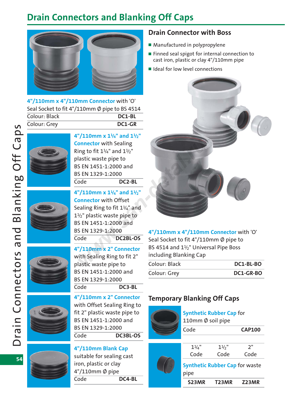## **Drain Connectors and Blanking Off Caps**



**4"/110mm x 4"/110mm Connector** with 'O' Seal Socket to fit 4"/110mm Ø pipe to BS 4514 Colour: Black **DC1-BL** Colour: Grey **DC1-GR**



**4"/110mm x 11/4" and 11/2"**

**Connector** with Sealing Ring to fit  $1\frac{1}{4}$ " and  $1\frac{1}{2}$ " plastic waste pipe to BS EN 1451-1:2000 and BS EN 1329-1:2000 Code **DC2-BL**









**4"/110mm x 11/4" and 11/2" Connector** with Offset Sealing Ring to fit 11/4" and  $1\frac{1}{2}$ " plastic waste pipe to BS EN 1451-1:2000 and BS EN 1329-1:2000 Code **DC2BL-OS**

**4"/110mm x 2" Connector** with Sealing Ring to fit 2" plastic waste pipe to BS EN 1451-1:2000 and BS EN 1329-1:2000 Code **DC3-BL**

**4"/110mm x 2" Connector** with Offset Sealing Ring to fit 2" plastic waste pipe to BS EN 1451-1:2000 and BS EN 1329-1:2000 Code **DC3BL-OS**

#### **4"/110mm Blank Cap**

suitable for sealing cast iron, plastic or clay 4"/110mm Ø pipe Code **DC4-BL**

#### **Drain Connector with Boss**

- Manufactured in polypropylene
- Finned seal spigot for internal connection to cast iron, plastic or clay 4"/110mm pipe
- Ideal for low level connections



**4"/110mm x 4"/110mm Connector** with 'O' Seal Socket to fit 4"/110mm Ø pipe to BS 4514 and  $1\frac{1}{2}$ " Universal Pipe Boss including Blanking Cap

| Colour: Black | DC1-BL-BO |
|---------------|-----------|
| Colour: Grey  | DC1-GR-BO |

### **Temporary Blanking Off Caps**



**Synthetic Rubber Cap** for 110mm Ø soil pipe

| Code | <b>CAP100</b> |  |  |
|------|---------------|--|--|
|      |               |  |  |

| S23MR                                          | T <sub>23</sub> MR | Z23MR |
|------------------------------------------------|--------------------|-------|
| <b>Synthetic Rubber Cap for waster</b><br>pipe |                    |       |
| Code                                           | Code               | Code  |
| $1\frac{1}{4}$ "                               | $1\frac{1}{2}$     | 2"    |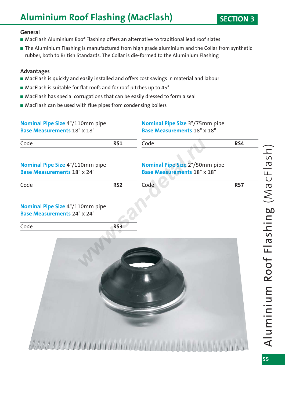## **Aluminium Roof Flashing (MacFlash)** SECTION 3

#### **General**

- MacFlash Aluminium Roof Flashing offers an alternative to traditional lead roof slates
- The Aluminium Flashing is manufactured from high grade aluminium and the Collar from synthetic rubber, both to British Standards. The Collar is die-formed to the Aluminium Flashing

#### **Advantages**

- MacFlash is quickly and easily installed and offers cost savings in material and labour
- MacFlash is suitable for flat roofs and for roof pitches up to 45°
- MacFlash has special corrugations that can be easily dressed to form a seal
- MacFlash can be used with flue pipes from condensing boilers

| Nominal Pipe Size 4"/110mm pipe<br><b>Base Measurements 18" x 18"</b>        |                 | <b>Nominal Pipe Size 3"/75mm pipe</b><br><b>Base Measurements 18" x 18"</b> |     |  |
|------------------------------------------------------------------------------|-----------------|-----------------------------------------------------------------------------|-----|--|
| Code                                                                         | <b>RS1</b>      | Code                                                                        | RS4 |  |
| <b>Nominal Pipe Size 4"/110mm pipe</b><br><b>Base Measurements 18" x 24"</b> |                 | <b>Nominal Pipe Size 2"/50mm pipe</b><br><b>Base Measurements 18" x 18"</b> |     |  |
| Code                                                                         | RS <sub>2</sub> | Code                                                                        | RS7 |  |
| <b>Nominal Pipe Size 4"/110mm pipe</b><br><b>Base Measurements 24" x 24"</b> |                 |                                                                             |     |  |
| Code                                                                         | RS <sub>3</sub> |                                                                             |     |  |
|                                                                              |                 |                                                                             |     |  |